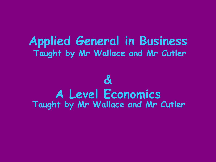#### **Applied General in Business Taught by Mr Wallace and Mr Cutler**

#### **& A Level Economics Taught by Mr Wallace and Mr Cutler**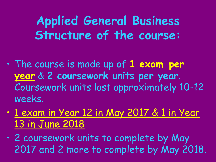**Applied General Business Structure of the course:**

- The course is made up of **1 exam per year** & **2 coursework units per year**. Coursework units last approximately 10-12 weeks.
- 1 exam in Year 12 in May 2017 & 1 in Year 13 in June 2018
- 2 coursework units to complete by May 2017 and 2 more to complete by May 2018.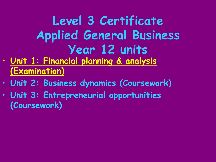## **Level 3 Certificate Applied General Business Year 12 units**

- **Unit 1: Financial planning & analysis (Examination)**
- **Unit 2: Business dynamics (Coursework)**
- **Unit 3: Entrepreneurial opportunities (Coursework)**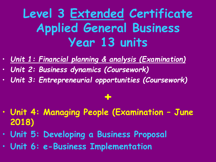#### **Level 3 Extended Certificate Applied General Business Year 13 units**

- *Unit 1: Financial planning & analysis (Examination)*
- *Unit 2: Business dynamics (Coursework)*
- *Unit 3: Entrepreneurial opportunities (Coursework)*

### **+**

- **Unit 4: Managing People (Examination – June 2018)**
- **Unit 5: Developing a Business Proposal**
- **Unit 6: e-Business Implementation**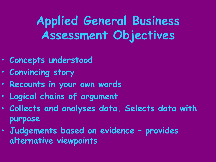### **Applied General Business Assessment Objectives**

- **Concepts understood**
- **Convincing story**
- **Recounts in your own words**
- **Logical chains of argument**
- **Collects and analyses data. Selects data with purpose**
- **Judgements based on evidence – provides alternative viewpoints**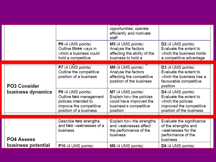|  |                                          |                                                                                                                          | opportunities, operate<br>efficiently and motivate<br>staff                                                    |                                                                                                                           |  |
|--|------------------------------------------|--------------------------------------------------------------------------------------------------------------------------|----------------------------------------------------------------------------------------------------------------|---------------------------------------------------------------------------------------------------------------------------|--|
|  |                                          | P6 (4 UMS points)<br>Outline three ways in<br>which a business could<br>hold a competitive                               | M5 (4 UMS points)<br>Analyse the factors<br>affecting the ability of the<br>business to hold a                 | D <sub>2</sub> (4 UMS points)<br>Evaluate the extent to<br>which the business holds<br>a competitive advantage            |  |
|  | <b>PO3 Consider</b><br>business dynamics | P7 (4 UMS points)<br>Outline the competitive<br>position of a business                                                   | M6 (4 UMS points)<br>Analyse the factors<br>affecting the competitive<br>position of the business              | D3 (4 UMS points)<br>Evaluate the extent to<br>which the business has a<br>favourable competitive<br>position             |  |
|  |                                          | P8 (4 UMS points)<br>Outline two management<br>policies intended to<br>improve the competitive<br>position of a business | M7 (4 UMS points)<br>Explain how the policies<br>could have improved the<br>business's competitive<br>position | D4 (4 UMS points)<br>Evaluate the extent to<br>which the policies<br>improved the competitive<br>position of the business |  |
|  |                                          | Describe two strengths                                                                                                   | Explain how the strengths                                                                                      | Evaluate the significance                                                                                                 |  |
|  | <b>PO4 Assess</b>                        | and two weaknesses of a<br>business                                                                                      | and weaknesses affect<br>the performance of the<br><b>business</b>                                             | of the strengths and<br>weaknesses for the<br>performance of the<br>business                                              |  |
|  | business potential                       | P10 (4 UMS points)                                                                                                       | M9 (4 UMS points)                                                                                              | D6 (4 UMS points)                                                                                                         |  |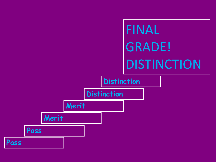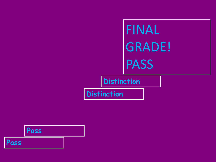# FINAL GRADE! PASS

**Distinction**

**Distinction**

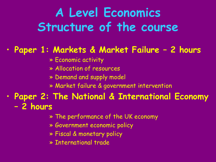### **A Level Economics Structure of the course**

#### • **Paper 1: Markets & Market Failure – 2 hours**

- » Economic activity
- » Allocation of resources
- » Demand and supply model
- » Market failure & government intervention
- **Paper 2: The National & International Economy – 2 hours**
	- » The performance of the UK economy
	- » Government economic policy
	- » Fiscal & monetary policy
	- » International trade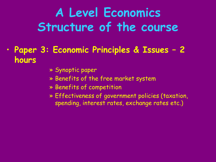### **A Level Economics Structure of the course**

- **Paper 3: Economic Principles & Issues – 2 hours**
	- » Synoptic paper
	- » Benefits of the free market system
	- » Benefits of competition
	- » Effectiveness of government policies (taxation, spending, interest rates, exchange rates etc.)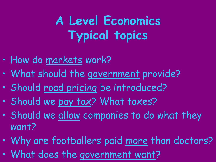## **A Level Economics Typical topics**

- How do markets work?
- What should the government provide?
- Should road pricing be introduced?
- Should we pay tax? What taxes?
- Should we allow companies to do what they want?
- Why are footballers paid more than doctors?
- What does the government want?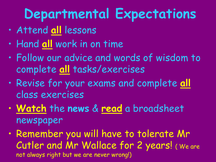# **Departmental Expectations**

- Attend **all** lessons
- Hand **all** work in on time
- Follow our advice and words of wisdom to complete **all** tasks/exercises
- Revise for your exams and complete **all** class exercises
- **Watch** the **news** & **read** a broadsheet newspaper
- Remember you will have to tolerate Mr Cutler and Mr Wallace for 2 years! ( We are not always right but we are never wrong!)